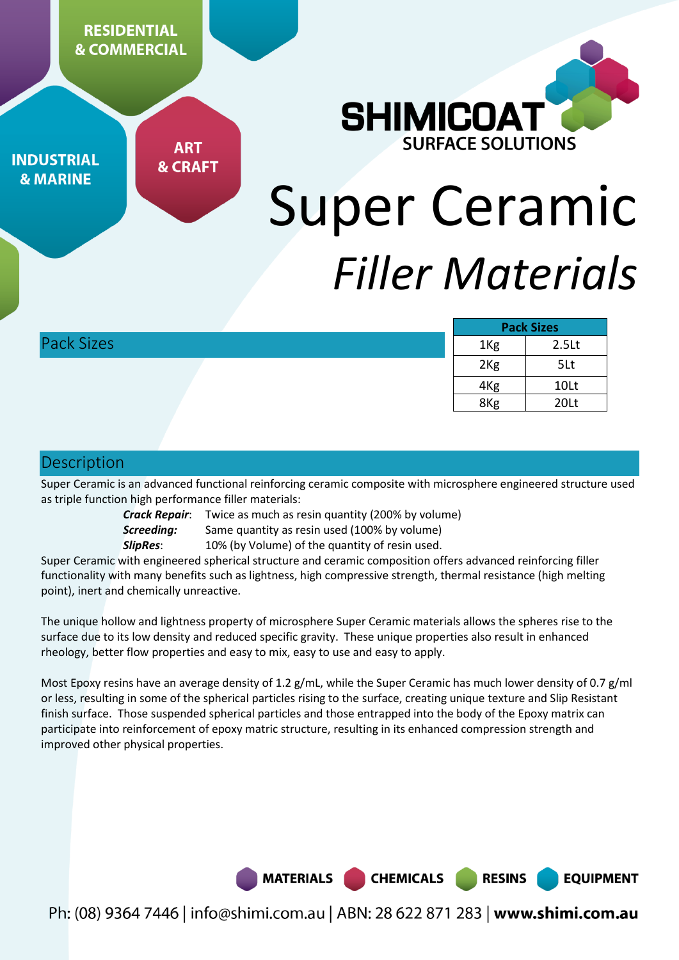**RESIDENTIAL & COMMERCIAL** 



**INDUSTRIAL & MARINE** 

**ART & CRAFT** 

# Super Ceramic *Filler Materials*

|                   | <b>Pack Sizes</b> |                   |
|-------------------|-------------------|-------------------|
| <b>Pack Sizes</b> | 1 <sub>Kg</sub>   | 2.5 <sub>kt</sub> |
|                   | 2 <sub>Kg</sub>   | 5Lt               |
|                   | 4 <sub>Kg</sub>   | 10Lt              |
|                   | 8 <sub>Kg</sub>   | 20Lt              |

## Description

Super Ceramic is an advanced functional reinforcing ceramic composite with microsphere engineered structure used as triple function high performance filler materials:

*Crack Repair*: Twice as much as resin quantity (200% by volume) **Screeding:** Same quantity as resin used (100% by volume)

**SlipRes:** 10% (by Volume) of the quantity of resin used.

Super Ceramic with engineered spherical structure and ceramic composition offers advanced reinforcing filler functionality with many benefits such as lightness, high compressive strength, thermal resistance (high melting point), inert and chemically unreactive.

The unique hollow and lightness property of microsphere Super Ceramic materials allows the spheres rise to the surface due to its low density and reduced specific gravity. These unique properties also result in enhanced rheology, better flow properties and easy to mix, easy to use and easy to apply.

Most Epoxy resins have an average density of 1.2 g/mL, while the Super Ceramic has much lower density of 0.7 g/ml or less, resulting in some of the spherical particles rising to the surface, creating unique texture and Slip Resistant finish surface. Those suspended spherical particles and those entrapped into the body of the Epoxy matrix can participate into reinforcement of epoxy matric structure, resulting in its enhanced compression strength and improved other physical properties.

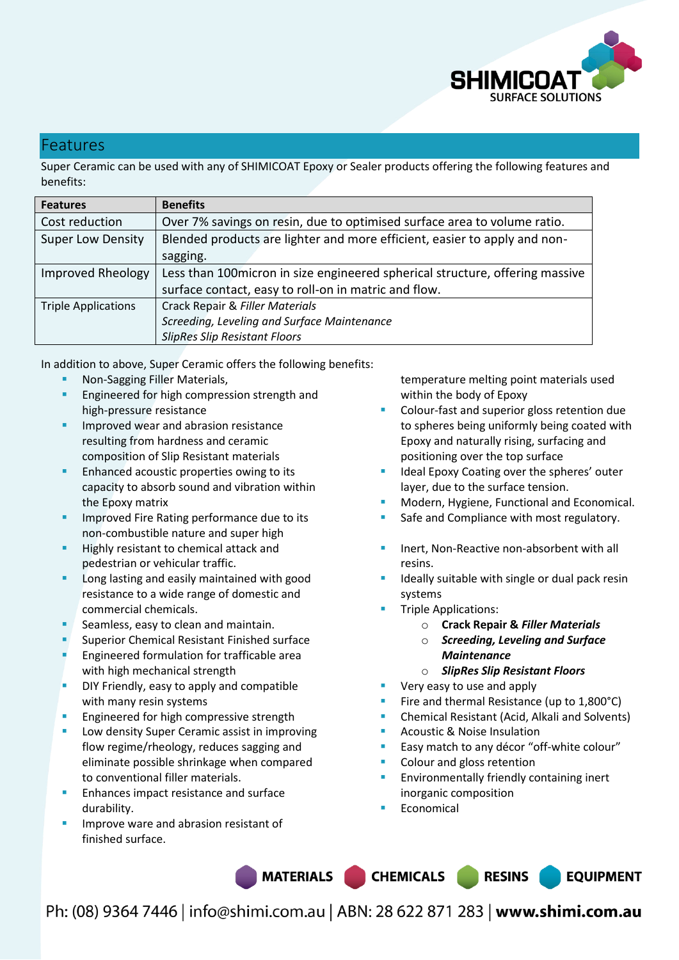

### Features

Super Ceramic can be used with any of SHIMICOAT Epoxy or Sealer products offering the following features and benefits:

| <b>Features</b>            | <b>Benefits</b>                                                               |  |
|----------------------------|-------------------------------------------------------------------------------|--|
| Cost reduction             | Over 7% savings on resin, due to optimised surface area to volume ratio.      |  |
| <b>Super Low Density</b>   | Blended products are lighter and more efficient, easier to apply and non-     |  |
|                            | sagging.                                                                      |  |
| <b>Improved Rheology</b>   | Less than 100 micron in size engineered spherical structure, offering massive |  |
|                            | surface contact, easy to roll-on in matric and flow.                          |  |
| <b>Triple Applications</b> | Crack Repair & Filler Materials                                               |  |
|                            | Screeding, Leveling and Surface Maintenance                                   |  |
|                            | <b>SlipRes Slip Resistant Floors</b>                                          |  |

In addition to above, Super Ceramic offers the following benefits:

- Non-Sagging Filler Materials,
- Engineered for high compression strength and high-pressure resistance
- Improved wear and abrasion resistance resulting from hardness and ceramic composition of Slip Resistant materials
- Enhanced acoustic properties owing to its capacity to absorb sound and vibration within the Epoxy matrix
- Improved Fire Rating performance due to its non-combustible nature and super high
- Highly resistant to chemical attack and pedestrian or vehicular traffic.
- Long lasting and easily maintained with good resistance to a wide range of domestic and commercial chemicals.
- Seamless, easy to clean and maintain.
- Superior Chemical Resistant Finished surface
- Engineered formulation for trafficable area with high mechanical strength
- DIY Friendly, easy to apply and compatible with many resin systems
- Engineered for high compressive strength
- Low density Super Ceramic assist in improving flow regime/rheology, reduces sagging and eliminate possible shrinkage when compared to conventional filler materials.
- Enhances impact resistance and surface durability.
- Improve ware and abrasion resistant of finished surface.

temperature melting point materials used within the body of Epoxy

- Colour-fast and superior gloss retention due to spheres being uniformly being coated with Epoxy and naturally rising, surfacing and positioning over the top surface
- Ideal Epoxy Coating over the spheres' outer layer, due to the surface tension.
- Modern, Hygiene, Functional and Economical.
- Safe and Compliance with most regulatory.
- Inert, Non-Reactive non-absorbent with all resins.
- Ideally suitable with single or dual pack resin systems
- Triple Applications:
	- o **Crack Repair &** *Filler Materials*
	- o *Screeding, Leveling and Surface Maintenance*
	- o *SlipRes Slip Resistant Floors*
- Very easy to use and apply
- Fire and thermal Resistance (up to 1,800°C)
- Chemical Resistant (Acid, Alkali and Solvents)
- Acoustic & Noise Insulation
- Easy match to any décor "off-white colour"
- Colour and gloss retention
- Environmentally friendly containing inert inorganic composition
- Economical

MATERIALS CHEMICALS RESINS

**EQUIPMENT**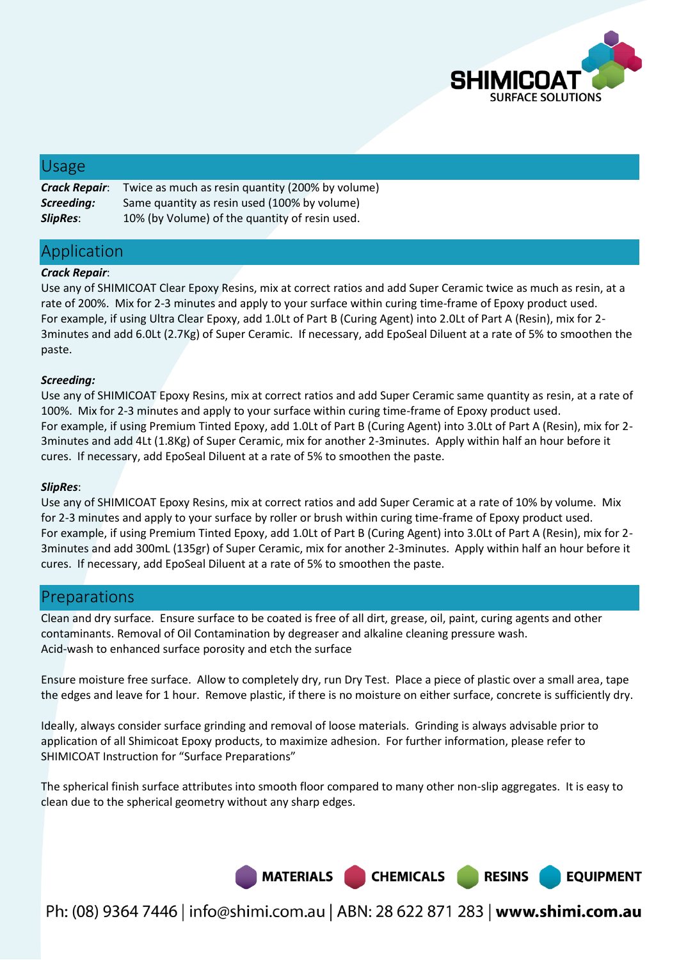

## Usage

| <b>Crack Repair:</b> | Twice as much as resin quantity (200% by volume) |
|----------------------|--------------------------------------------------|
| Screeding:           | Same quantity as resin used (100% by volume)     |
| <b>SlipRes:</b>      | 10% (by Volume) of the quantity of resin used.   |

## Application

#### *Crack Repair*:

Use any of SHIMICOAT Clear Epoxy Resins, mix at correct ratios and add Super Ceramic twice as much as resin, at a rate of 200%. Mix for 2-3 minutes and apply to your surface within curing time-frame of Epoxy product used. For example, if using Ultra Clear Epoxy, add 1.0Lt of Part B (Curing Agent) into 2.0Lt of Part A (Resin), mix for 2- 3minutes and add 6.0Lt (2.7Kg) of Super Ceramic. If necessary, add EpoSeal Diluent at a rate of 5% to smoothen the paste.

#### *Screeding:*

Use any of SHIMICOAT Epoxy Resins, mix at correct ratios and add Super Ceramic same quantity as resin, at a rate of 100%. Mix for 2-3 minutes and apply to your surface within curing time-frame of Epoxy product used. For example, if using Premium Tinted Epoxy, add 1.0Lt of Part B (Curing Agent) into 3.0Lt of Part A (Resin), mix for 2- 3minutes and add 4Lt (1.8Kg) of Super Ceramic, mix for another 2-3minutes. Apply within half an hour before it cures. If necessary, add EpoSeal Diluent at a rate of 5% to smoothen the paste.

#### *SlipRes*:

Use any of SHIMICOAT Epoxy Resins, mix at correct ratios and add Super Ceramic at a rate of 10% by volume. Mix for 2-3 minutes and apply to your surface by roller or brush within curing time-frame of Epoxy product used. For example, if using Premium Tinted Epoxy, add 1.0Lt of Part B (Curing Agent) into 3.0Lt of Part A (Resin), mix for 2- 3minutes and add 300mL (135gr) of Super Ceramic, mix for another 2-3minutes. Apply within half an hour before it cures. If necessary, add EpoSeal Diluent at a rate of 5% to smoothen the paste.

## Preparations

Clean and dry surface. Ensure surface to be coated is free of all dirt, grease, oil, paint, curing agents and other contaminants. Removal of Oil Contamination by degreaser and alkaline cleaning pressure wash. Acid-wash to enhanced surface porosity and etch the surface

Ensure moisture free surface. Allow to completely dry, run Dry Test. Place a piece of plastic over a small area, tape the edges and leave for 1 hour. Remove plastic, if there is no moisture on either surface, concrete is sufficiently dry.

Ideally, always consider surface grinding and removal of loose materials. Grinding is always advisable prior to application of all Shimicoat Epoxy products, to maximize adhesion. For further information, please refer to SHIMICOAT Instruction for "Surface Preparations"

The spherical finish surface attributes into smooth floor compared to many other non-slip aggregates. It is easy to clean due to the spherical geometry without any sharp edges.



Ph: (08) 9364 7446 | info@shimi.com.au | ABN: 28 622 871 283 | www.shimi.com.au

**RESINS** 

**EQUIPMENT**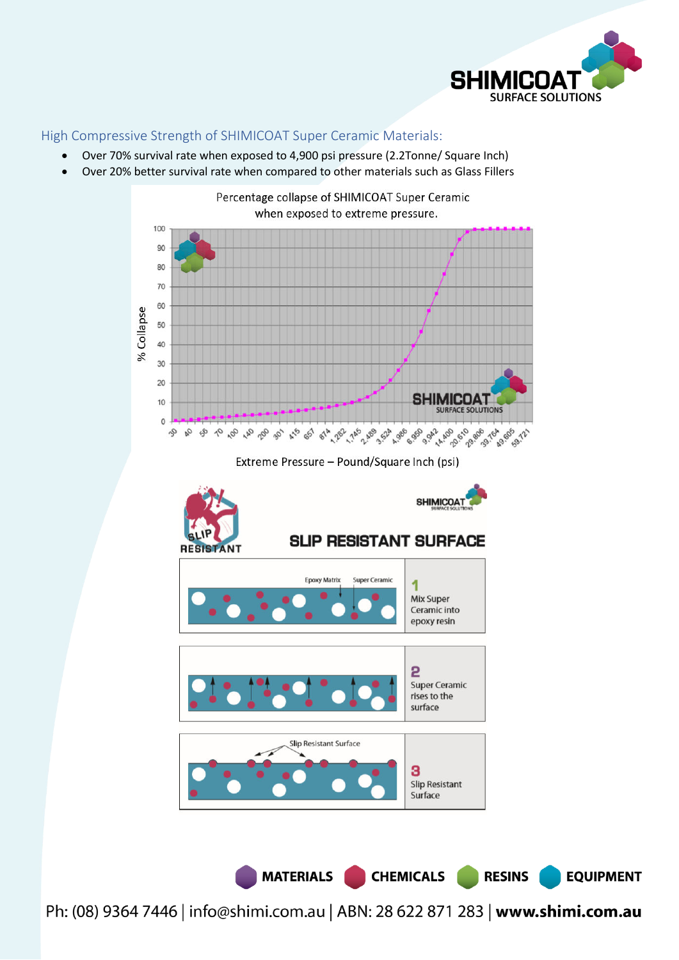

#### High Compressive Strength of SHIMICOAT Super Ceramic Materials:

- Over 70% survival rate when exposed to 4,900 psi pressure (2.2Tonne/ Square Inch)
- Over 20% better survival rate when compared to other materials such as Glass Fillers



Extreme Pressure - Pound/Square Inch (psi)



Ph: (08) 9364 7446 | info@shimi.com.au | ABN: 28 622 871 283 | www.shimi.com.au

MATERIALS CHEMICALS

**RESINS** 

**EQUIPMENT**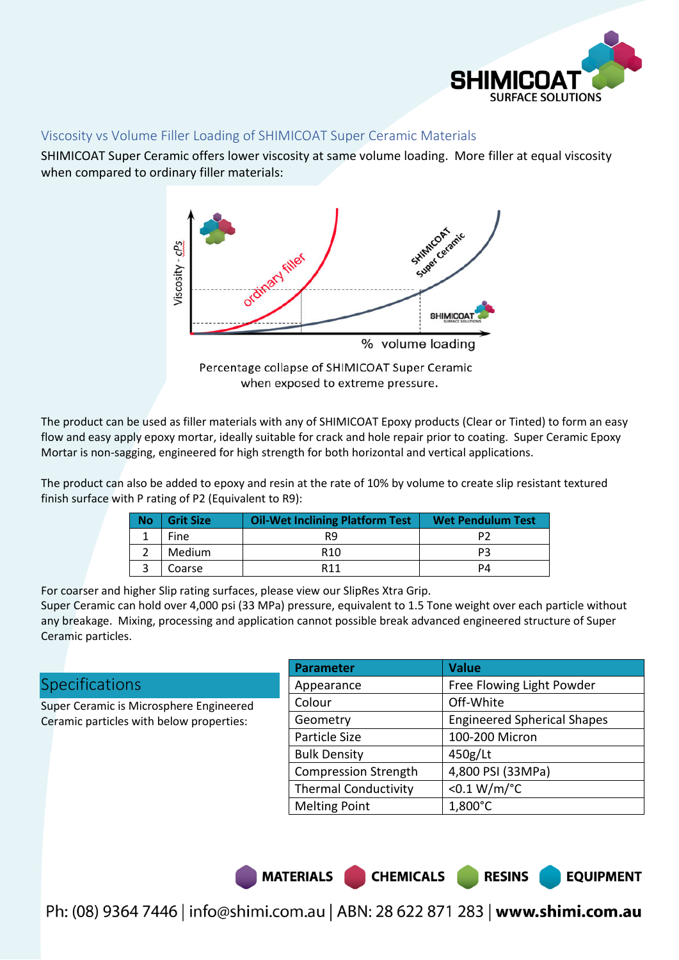

#### Viscosity vs Volume Filler Loading of SHIMICOAT Super Ceramic Materials

SHIMICOAT Super Ceramic offers lower viscosity at same volume loading. More filler at equal viscosity when compared to ordinary filler materials:



when exposed to extreme pressure.

The product can be used as filler materials with any of SHIMICOAT Epoxy products (Clear or Tinted) to form an easy flow and easy apply epoxy mortar, ideally suitable for crack and hole repair prior to coating. Super Ceramic Epoxy Mortar is non-sagging, engineered for high strength for both horizontal and vertical applications.

The product can also be added to epoxy and resin at the rate of 10% by volume to create slip resistant textured finish surface with P rating of P2 (Equivalent to R9):

| <b>No</b> | <b>Grit Size</b> | <b>Oil-Wet Inclining Platform Test</b> | <b>Wet Pendulum Test</b> |
|-----------|------------------|----------------------------------------|--------------------------|
|           | Fine             | R9                                     |                          |
|           | Medium           | R <sub>10</sub>                        | DЗ                       |
|           | Coarse           | R <sub>11</sub>                        | PΔ                       |

For coarser and higher Slip rating surfaces, please view our SlipRes Xtra Grip.

Super Ceramic can hold over 4,000 psi (33 MPa) pressure, equivalent to 1.5 Tone weight over each particle without any breakage. Mixing, processing and application cannot possible break advanced engineered structure of Super Ceramic particles.

## **Specifications**

Super Ceramic is Microsphere Engineered Ceramic particles with below properties:

| <b>Parameter</b>            | <b>Value</b>                       |
|-----------------------------|------------------------------------|
| Appearance                  | Free Flowing Light Powder          |
| Colour                      | Off-White                          |
| Geometry                    | <b>Engineered Spherical Shapes</b> |
| Particle Size               | 100-200 Micron                     |
| <b>Bulk Density</b>         | 450g/Lt                            |
| <b>Compression Strength</b> | 4,800 PSI (33MPa)                  |
| <b>Thermal Conductivity</b> | < $0.1 W/m$ /°C                    |
| <b>Melting Point</b>        | 1,800°C                            |

**RESINS** 

MATERIALS CHEMICALS

**EQUIPMENT**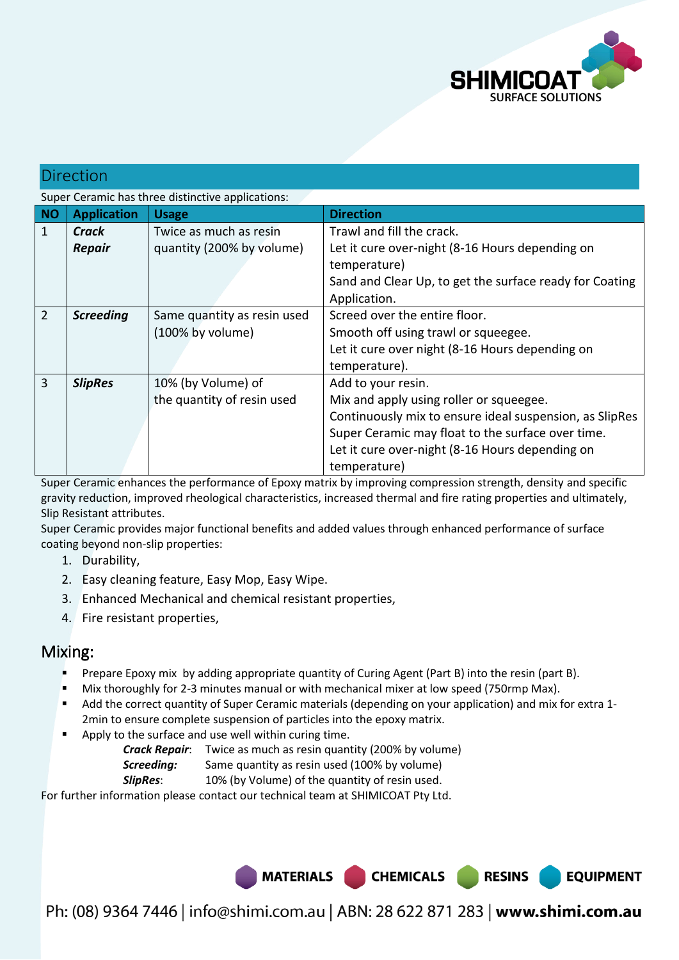

## Direction

Super Ceramic has three distinctive applications:

| <b>NO</b>      | <b>Application</b> | <b>Usage</b>                | <b>Direction</b>                                        |
|----------------|--------------------|-----------------------------|---------------------------------------------------------|
| 1              | Crack              | Twice as much as resin      | Trawl and fill the crack.                               |
|                | <b>Repair</b>      | quantity (200% by volume)   | Let it cure over-night (8-16 Hours depending on         |
|                |                    |                             | temperature)                                            |
|                |                    |                             | Sand and Clear Up, to get the surface ready for Coating |
|                |                    |                             | Application.                                            |
| $\overline{2}$ | <b>Screeding</b>   | Same quantity as resin used | Screed over the entire floor.                           |
|                |                    | (100% by volume)            | Smooth off using trawl or squeegee.                     |
|                |                    |                             | Let it cure over night (8-16 Hours depending on         |
|                |                    |                             | temperature).                                           |
| 3              | <b>SlipRes</b>     | 10% (by Volume) of          | Add to your resin.                                      |
|                |                    | the quantity of resin used  | Mix and apply using roller or squeegee.                 |
|                |                    |                             | Continuously mix to ensure ideal suspension, as SlipRes |
|                |                    |                             | Super Ceramic may float to the surface over time.       |
|                |                    |                             | Let it cure over-night (8-16 Hours depending on         |
|                |                    |                             | temperature)                                            |

Super Ceramic enhances the performance of Epoxy matrix by improving compression strength, density and specific gravity reduction, improved rheological characteristics, increased thermal and fire rating properties and ultimately, Slip Resistant attributes.

Super Ceramic provides major functional benefits and added values through enhanced performance of surface coating beyond non-slip properties:

- 1. Durability,
- 2. Easy cleaning feature, Easy Mop, Easy Wipe.
- 3. Enhanced Mechanical and chemical resistant properties,
- 4. Fire resistant properties,

## Mixing:

- Prepare Epoxy mix by adding appropriate quantity of Curing Agent (Part B) into the resin (part B).
- Mix thoroughly for 2-3 minutes manual or with mechanical mixer at low speed (750rmp Max).
- Add the correct quantity of Super Ceramic materials (depending on your application) and mix for extra 1- 2min to ensure complete suspension of particles into the epoxy matrix.
- Apply to the surface and use well within curing time.
	- *Crack Repair*: Twice as much as resin quantity (200% by volume)

**Screeding:** Same quantity as resin used (100% by volume)

**SlipRes:** 10% (by Volume) of the quantity of resin used.

For further information please contact our technical team at SHIMICOAT Pty Ltd.

MATERIALS CHEMICALS RESINS

**EQUIPMENT**